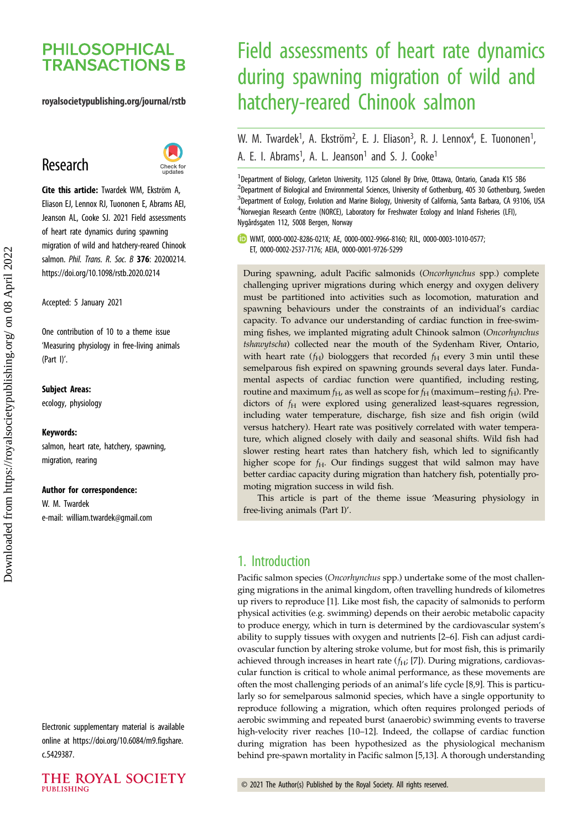## **PHILOSOPHICAL TRANSACTIONS B**

#### royalsocietypublishing.org/journal/rstb

# Research



Cite this article: Twardek WM, Ekström A, Eliason EJ, Lennox RJ, Tuononen E, Abrams AEI, Jeanson AL, Cooke SJ. 2021 Field assessments of heart rate dynamics during spawning migration of wild and hatchery-reared Chinook salmon. Phil. Trans. R. Soc. B 376: 20200214. https://doi.org/10.1098/rstb.2020.0214

Accepted: 5 January 2021

One contribution of 10 to a theme issue '[Measuring physiology in free-living animals](http://dx.doi.org/10.1098/rstb/376/1830) [\(Part I\)](http://dx.doi.org/10.1098/rstb/376/1830)'.

#### Subject Areas:

ecology, physiology

#### Keywords:

salmon, heart rate, hatchery, spawning, migration, rearing

#### Author for correspondence:

W. M. Twardek e-mail: [william.twardek@gmail.com](mailto:william.twardek@gmail.com)

Electronic supplementary material is available online at [https://doi.org/10.6084/m9.figshare.](https://doi.org/10.6084/m9.figshare.c.5429387) [c.5429387.](https://doi.org/10.6084/m9.figshare.c.5429387)

# Field assessments of heart rate dynamics during spawning migration of wild and hatchery-reared Chinook salmon

W. M. Twardek<sup>1</sup>, A. Ekström<sup>2</sup>, E. J. Eliason<sup>3</sup>, R. J. Lennox<sup>4</sup>, E. Tuononen<sup>1</sup> , A. E. I. Abrams<sup>1</sup>, A. L. Jeanson<sup>1</sup> and S. J. Cooke<sup>1</sup>

<sup>1</sup>Department of Biology, Carleton University, 1125 Colonel By Drive, Ottawa, Ontario, Canada K1S 5B6 <sup>2</sup>Department of Biological and Environmental Sciences, University of Gothenburg, 405 30 Gothenburg, Sweden  ${}^{3}$ Department of Ecology, Evolution and Marine Biology, University of California, Santa Barbara, CA 93106, USA <sup>4</sup>Norwegian Research Centre (NORCE), Laboratory for Freshwater Ecology and Inland Fisheries (LFI), Nygårdsgaten 112, 5008 Bergen, Norway

WMT, [0000-0002-8286-021X](http://orcid.org/0000-0002-8286-021X); AE, [0000-0002-9966-8160;](http://orcid.org/0000-0002-9966-8160) RJL, [0000-0003-1010-0577;](http://orcid.org/0000-0003-1010-0577) ET, [0000-0002-2537-7176](http://orcid.org/0000-0002-2537-7176); AEIA, [0000-0001-9726-5299](http://orcid.org/0000-0001-9726-5299)

During spawning, adult Pacific salmonids (Oncorhynchus spp.) complete challenging upriver migrations during which energy and oxygen delivery must be partitioned into activities such as locomotion, maturation and spawning behaviours under the constraints of an individual's cardiac capacity. To advance our understanding of cardiac function in free-swimming fishes, we implanted migrating adult Chinook salmon (Oncorhynchus tshawytscha) collected near the mouth of the Sydenham River, Ontario, with heart rate ( $f_H$ ) biologgers that recorded  $f_H$  every 3 min until these semelparous fish expired on spawning grounds several days later. Fundamental aspects of cardiac function were quantified, including resting, routine and maximum  $f_H$ , as well as scope for  $f_H$  (maximum–resting  $f_H$ ). Predictors of  $f_H$  were explored using generalized least-squares regression, including water temperature, discharge, fish size and fish origin (wild versus hatchery). Heart rate was positively correlated with water temperature, which aligned closely with daily and seasonal shifts. Wild fish had slower resting heart rates than hatchery fish, which led to significantly higher scope for  $f_H$ . Our findings suggest that wild salmon may have better cardiac capacity during migration than hatchery fish, potentially promoting migration success in wild fish.

This article is part of the theme issue 'Measuring physiology in free-living animals (Part I)'.

## 1. Introduction

Pacific salmon species (Oncorhynchus spp.) undertake some of the most challenging migrations in the animal kingdom, often travelling hundreds of kilometres up rivers to reproduce [[1](#page-7-0)]. Like most fish, the capacity of salmonids to perform physical activities (e.g. swimming) depends on their aerobic metabolic capacity to produce energy, which in turn is determined by the cardiovascular system's ability to supply tissues with oxygen and nutrients [[2](#page-7-0)–[6\]](#page-7-0). Fish can adjust cardiovascular function by altering stroke volume, but for most fish, this is primarily achieved through increases in heart rate  $(f_H; [7])$  $(f_H; [7])$  $(f_H; [7])$ . During migrations, cardiovascular function is critical to whole animal performance, as these movements are often the most challenging periods of an animal's life cycle [[8,9\]](#page-8-0). This is particularly so for semelparous salmonid species, which have a single opportunity to reproduce following a migration, which often requires prolonged periods of aerobic swimming and repeated burst (anaerobic) swimming events to traverse high-velocity river reaches [\[10](#page-8-0)–[12\]](#page-8-0). Indeed, the collapse of cardiac function during migration has been hypothesized as the physiological mechanism behind pre-spawn mortality in Pacific salmon [\[5,](#page-7-0)[13\]](#page-8-0). A thorough understanding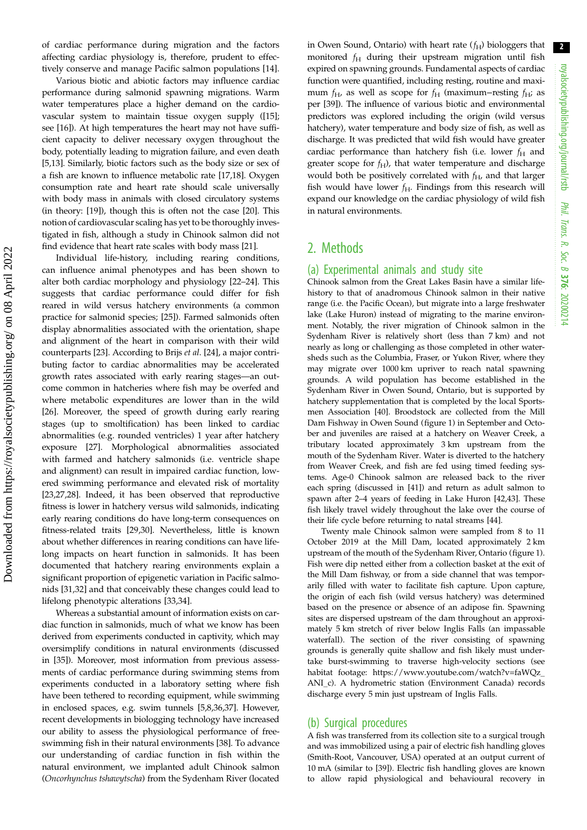2

of cardiac performance during migration and the factors affecting cardiac physiology is, therefore, prudent to effectively conserve and manage Pacific salmon populations [\[14](#page-8-0)].

Various biotic and abiotic factors may influence cardiac performance during salmonid spawning migrations. Warm water temperatures place a higher demand on the cardiovascular system to maintain tissue oxygen supply ([\[15](#page-8-0)]; see [\[16](#page-8-0)]). At high temperatures the heart may not have sufficient capacity to deliver necessary oxygen throughout the body, potentially leading to migration failure, and even death [\[5,](#page-7-0)[13](#page-8-0)]. Similarly, biotic factors such as the body size or sex of a fish are known to influence metabolic rate [\[17](#page-8-0),[18](#page-8-0)]. Oxygen consumption rate and heart rate should scale universally with body mass in animals with closed circulatory systems (in theory: [[19\]](#page-8-0)), though this is often not the case [\[20](#page-8-0)]. This notion of cardiovascular scaling has yet to be thoroughly investigated in fish, although a study in Chinook salmon did not find evidence that heart rate scales with body mass [[21\]](#page-8-0).

Individual life-history, including rearing conditions, can influence animal phenotypes and has been shown to alter both cardiac morphology and physiology [[22](#page-8-0)–[24](#page-8-0)]. This suggests that cardiac performance could differ for fish reared in wild versus hatchery environments (a common practice for salmonid species; [\[25](#page-8-0)]). Farmed salmonids often display abnormalities associated with the orientation, shape and alignment of the heart in comparison with their wild counterparts [[23\]](#page-8-0). According to Brijs et al. [[24\]](#page-8-0), a major contributing factor to cardiac abnormalities may be accelerated growth rates associated with early rearing stages—an outcome common in hatcheries where fish may be overfed and where metabolic expenditures are lower than in the wild [\[26](#page-8-0)]. Moreover, the speed of growth during early rearing stages (up to smoltification) has been linked to cardiac abnormalities (e.g. rounded ventricles) 1 year after hatchery exposure [[27\]](#page-8-0). Morphological abnormalities associated with farmed and hatchery salmonids (i.e. ventricle shape and alignment) can result in impaired cardiac function, lowered swimming performance and elevated risk of mortality [\[23](#page-8-0),[27,28\]](#page-8-0). Indeed, it has been observed that reproductive fitness is lower in hatchery versus wild salmonids, indicating early rearing conditions do have long-term consequences on fitness-related traits [\[29](#page-8-0),[30\]](#page-8-0). Nevertheless, little is known about whether differences in rearing conditions can have lifelong impacts on heart function in salmonids. It has been documented that hatchery rearing environments explain a significant proportion of epigenetic variation in Pacific salmonids [[31,32](#page-8-0)] and that conceivably these changes could lead to lifelong phenotypic alterations [\[33](#page-8-0),[34\]](#page-8-0).

Whereas a substantial amount of information exists on cardiac function in salmonids, much of what we know has been derived from experiments conducted in captivity, which may oversimplify conditions in natural environments (discussed in [\[35](#page-8-0)]). Moreover, most information from previous assessments of cardiac performance during swimming stems from experiments conducted in a laboratory setting where fish have been tethered to recording equipment, while swimming in enclosed spaces, e.g. swim tunnels [\[5,](#page-7-0)[8](#page-8-0),[36,37\]](#page-8-0). However, recent developments in biologging technology have increased our ability to assess the physiological performance of freeswimming fish in their natural environments [\[38](#page-8-0)]. To advance our understanding of cardiac function in fish within the natural environment, we implanted adult Chinook salmon (Oncorhynchus tshawytscha) from the Sydenham River (located in Owen Sound, Ontario) with heart rate  $(f_H)$  biologgers that monitored  $f_H$  during their upstream migration until fish expired on spawning grounds. Fundamental aspects of cardiac function were quantified, including resting, routine and maximum  $f_{\rm H}$ , as well as scope for  $f_{\rm H}$  (maximum–resting  $f_{\rm H}$ ; as per [\[39](#page-8-0)]). The influence of various biotic and environmental predictors was explored including the origin (wild versus hatchery), water temperature and body size of fish, as well as discharge. It was predicted that wild fish would have greater cardiac performance than hatchery fish (i.e. lower  $f_H$  and greater scope for  $f_H$ ), that water temperature and discharge would both be positively correlated with  $f_H$ , and that larger fish would have lower  $f_H$ . Findings from this research will expand our knowledge on the cardiac physiology of wild fish in natural environments.

## 2. Methods

#### (a) Experimental animals and study site

Chinook salmon from the Great Lakes Basin have a similar lifehistory to that of anadromous Chinook salmon in their native range (i.e. the Pacific Ocean), but migrate into a large freshwater lake (Lake Huron) instead of migrating to the marine environment. Notably, the river migration of Chinook salmon in the Sydenham River is relatively short (less than 7 km) and not nearly as long or challenging as those completed in other watersheds such as the Columbia, Fraser, or Yukon River, where they may migrate over 1000 km upriver to reach natal spawning grounds. A wild population has become established in the Sydenham River in Owen Sound, Ontario, but is supported by hatchery supplementation that is completed by the local Sportsmen Association [[40](#page-8-0)]. Broodstock are collected from the Mill Dam Fishway in Owen Sound ([figure 1\)](#page-2-0) in September and October and juveniles are raised at a hatchery on Weaver Creek, a tributary located approximately 3 km upstream from the mouth of the Sydenham River. Water is diverted to the hatchery from Weaver Creek, and fish are fed using timed feeding systems. Age-0 Chinook salmon are released back to the river each spring (discussed in [[41](#page-8-0)]) and return as adult salmon to spawn after 2–4 years of feeding in Lake Huron [[42,43\]](#page-8-0). These fish likely travel widely throughout the lake over the course of their life cycle before returning to natal streams [[44](#page-8-0)].

Twenty male Chinook salmon were sampled from 8 to 11 October 2019 at the Mill Dam, located approximately 2 km upstream of the mouth of the Sydenham River, Ontario [\(figure 1\)](#page-2-0). Fish were dip netted either from a collection basket at the exit of the Mill Dam fishway, or from a side channel that was temporarily filled with water to facilitate fish capture. Upon capture, the origin of each fish (wild versus hatchery) was determined based on the presence or absence of an adipose fin. Spawning sites are dispersed upstream of the dam throughout an approximately 5 km stretch of river below Inglis Falls (an impassable waterfall). The section of the river consisting of spawning grounds is generally quite shallow and fish likely must undertake burst-swimming to traverse high-velocity sections (see habitat footage: [https://www.youtube.com/watch?v=faWQz\\_](https://www.youtube.com/watch?v=faWQz_ANI_c) [ANI\\_c](https://www.youtube.com/watch?v=faWQz_ANI_c)). A hydrometric station (Environment Canada) records discharge every 5 min just upstream of Inglis Falls.

#### (b) Surgical procedures

A fish was transferred from its collection site to a surgical trough and was immobilized using a pair of electric fish handling gloves (Smith-Root, Vancouver, USA) operated at an output current of 10 mA (similar to [[39](#page-8-0)]). Electric fish handling gloves are known to allow rapid physiological and behavioural recovery in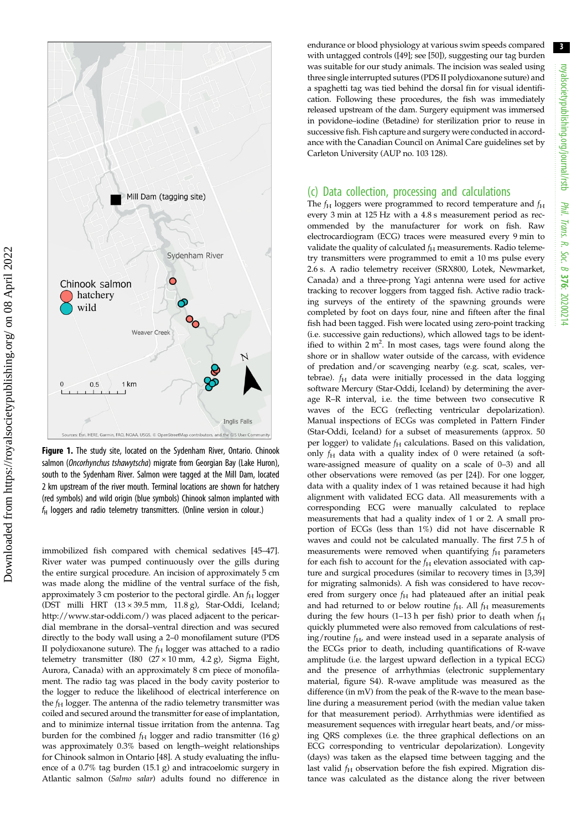<span id="page-2-0"></span>

Figure 1. The study site, located on the Sydenham River, Ontario. Chinook salmon (Oncorhynchus tshawytscha) migrate from Georgian Bay (Lake Huron), south to the Sydenham River. Salmon were tagged at the Mill Dam, located 2 km upstream of the river mouth. Terminal locations are shown for hatchery (red symbols) and wild origin (blue symbols) Chinook salmon implanted with  $f_H$  loggers and radio telemetry transmitters. (Online version in colour.)

immobilized fish compared with chemical sedatives [\[45](#page-8-0)–[47\]](#page-9-0). River water was pumped continuously over the gills during the entire surgical procedure. An incision of approximately 5 cm was made along the midline of the ventral surface of the fish, approximately 3 cm posterior to the pectoral girdle. An  $f_H$  logger (DST milli HRT (13 × 39.5 mm, 11.8 g), Star-Oddi, Iceland; <http://www.star-oddi.com/>) was placed adjacent to the pericardial membrane in the dorsal–ventral direction and was secured directly to the body wall using a 2–0 monofilament suture (PDS II polydioxanone suture). The  $f_H$  logger was attached to a radio telemetry transmitter (I80  $(27 \times 10 \text{ mm}, 4.2 \text{ g})$ , Sigma Eight, Aurora, Canada) with an approximately 8 cm piece of monofilament. The radio tag was placed in the body cavity posterior to the logger to reduce the likelihood of electrical interference on the  $f_H$  logger. The antenna of the radio telemetry transmitter was coiled and secured around the transmitter for ease of implantation, and to minimize internal tissue irritation from the antenna. Tag burden for the combined  $f_H$  logger and radio transmitter (16 g) was approximately 0.3% based on length–weight relationships for Chinook salmon in Ontario [\[48\]](#page-9-0). A study evaluating the influence of a 0.7% tag burden (15.1 g) and intracoelomic surgery in Atlantic salmon (Salmo salar) adults found no difference in endurance or blood physiology at various swim speeds compared with untagged controls ([\[49\]](#page-9-0); see [\[50](#page-9-0)]), suggesting our tag burden was suitable for our study animals. The incision was sealed using three single interrupted sutures (PDS II polydioxanone suture) and a spaghetti tag was tied behind the dorsal fin for visual identification. Following these procedures, the fish was immediately released upstream of the dam. Surgery equipment was immersed in povidone–iodine (Betadine) for sterilization prior to reuse in successive fish. Fish capture and surgery were conducted in accordance with the Canadian Council on Animal Care guidelines set by Carleton University (AUP no. 103 128).

#### (c) Data collection, processing and calculations

The  $f_H$  loggers were programmed to record temperature and  $f_H$ every 3 min at 125 Hz with a 4.8 s measurement period as recommended by the manufacturer for work on fish. Raw electrocardiogram (ECG) traces were measured every 9 min to validate the quality of calculated  $f<sub>H</sub>$  measurements. Radio telemetry transmitters were programmed to emit a 10 ms pulse every 2.6 s. A radio telemetry receiver (SRX800, Lotek, Newmarket, Canada) and a three-prong Yagi antenna were used for active tracking to recover loggers from tagged fish. Active radio tracking surveys of the entirety of the spawning grounds were completed by foot on days four, nine and fifteen after the final fish had been tagged. Fish were located using zero-point tracking (i.e. successive gain reductions), which allowed tags to be identified to within  $2 \text{ m}^2$ . In most cases, tags were found along the shore or in shallow water outside of the carcass, with evidence of predation and/or scavenging nearby (e.g. scat, scales, vertebrae).  $f_H$  data were initially processed in the data logging software Mercury (Star-Oddi, Iceland) by determining the average R–R interval, i.e. the time between two consecutive R waves of the ECG (reflecting ventricular depolarization). Manual inspections of ECGs was completed in Pattern Finder (Star-Oddi, Iceland) for a subset of measurements (approx. 50 per logger) to validate  $f_H$  calculations. Based on this validation, only  $f_H$  data with a quality index of 0 were retained (a software-assigned measure of quality on a scale of 0–3) and all other observations were removed (as per [\[24\]](#page-8-0)). For one logger, data with a quality index of 1 was retained because it had high alignment with validated ECG data. All measurements with a corresponding ECG were manually calculated to replace measurements that had a quality index of 1 or 2. A small proportion of ECGs (less than 1%) did not have discernable R waves and could not be calculated manually. The first 7.5 h of measurements were removed when quantifying  $f_H$  parameters for each fish to account for the  $f_H$  elevation associated with capture and surgical procedures (similar to recovery times in [\[3](#page-7-0)[,39\]](#page-8-0) for migrating salmonids). A fish was considered to have recovered from surgery once  $f_H$  had plateaued after an initial peak and had returned to or below routine  $f_H$ . All  $f_H$  measurements during the few hours (1–13 h per fish) prior to death when  $f_H$ quickly plummeted were also removed from calculations of resting/routine  $f<sub>H</sub>$ , and were instead used in a separate analysis of the ECGs prior to death, including quantifications of R-wave amplitude (i.e. the largest upward deflection in a typical ECG) and the presence of arrhythmias (electronic supplementary material, figure S4). R-wave amplitude was measured as the difference (in mV) from the peak of the R-wave to the mean baseline during a measurement period (with the median value taken for that measurement period). Arrhythmias were identified as measurement sequences with irregular heart beats, and/or missing QRS complexes (i.e. the three graphical deflections on an ECG corresponding to ventricular depolarization). Longevity (days) was taken as the elapsed time between tagging and the last valid  $f<sub>H</sub>$  observation before the fish expired. Migration distance was calculated as the distance along the river between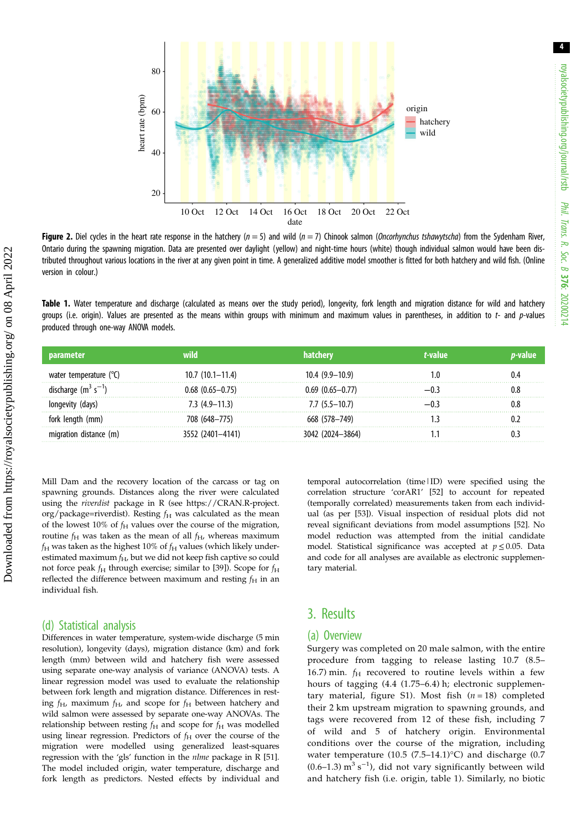<span id="page-3-0"></span>

**Figure 2.** Diel cycles in the heart rate response in the hatchery ( $n = 5$ ) and wild ( $n = 7$ ) Chinook salmon (Oncorhynchus tshawytscha) from the Sydenham River, Ontario during the spawning migration. Data are presented over daylight (yellow) and night-time hours (white) though individual salmon would have been distributed throughout various locations in the river at any given point in time. A generalized additive model smoother is fitted for both hatchery and wild fish. (Online version in colour.)

Table 1. Water temperature and discharge (calculated as means over the study period), longevity, fork length and migration distance for wild and hatchery groups (i.e. origin). Values are presented as the means within groups with minimum and maximum values in parentheses, in addition to  $t$ - and p-values produced through one-way ANOVA models.

| water temperature      | $10.7(10.1-11.4)$      | $10.4(9.9-10.9)$       |  |
|------------------------|------------------------|------------------------|--|
| ົາme (m <sup>3</sup> ເ | $0.68$ $(0.65 - 0.75)$ | $0.69$ $(0.65 - 0.77)$ |  |
|                        | $7.3(4.9-11.3)$        | $7.7(5.5-10.7)$        |  |
| rork length (mm)       | 708 (648-775)          | 668 (578-749)          |  |
| distance (m)           | $\vee$ (2401-414)      | 3042 (2024—3864)       |  |

Mill Dam and the recovery location of the carcass or tag on spawning grounds. Distances along the river were calculated using the riverdist package in R (see [https://CRAN.R-project.](https://CRAN.R-project.org/package=riverdist) [org/package=riverdist\)](https://CRAN.R-project.org/package=riverdist). Resting  $f_H$  was calculated as the mean of the lowest 10% of  $f_H$  values over the course of the migration, routine  $f_H$  was taken as the mean of all  $f_H$ , whereas maximum  $f_H$  was taken as the highest 10% of  $f_H$  values (which likely underestimated maximum  $f_{\rm H}$ , but we did not keep fish captive so could not force peak  $f_H$  through exercise; similar to [[39](#page-8-0)]). Scope for  $f_H$ reflected the difference between maximum and resting  $f_H$  in an individual fish.

#### (d) Statistical analysis

Differences in water temperature, system-wide discharge (5 min resolution), longevity (days), migration distance (km) and fork length (mm) between wild and hatchery fish were assessed using separate one-way analysis of variance (ANOVA) tests. A linear regression model was used to evaluate the relationship between fork length and migration distance. Differences in resting  $f_H$ , maximum  $f_H$ , and scope for  $f_H$  between hatchery and wild salmon were assessed by separate one-way ANOVAs. The relationship between resting  $f_H$  and scope for  $f_H$  was modelled using linear regression. Predictors of  $f_H$  over the course of the migration were modelled using generalized least-squares regression with the 'gls' function in the nlme package in R [\[51\]](#page-9-0). The model included origin, water temperature, discharge and fork length as predictors. Nested effects by individual and temporal autocorrelation (time|ID) were specified using the correlation structure 'corAR1' [\[52\]](#page-9-0) to account for repeated (temporally correlated) measurements taken from each individual (as per [[53](#page-9-0)]). Visual inspection of residual plots did not reveal significant deviations from model assumptions [\[52\]](#page-9-0). No model reduction was attempted from the initial candidate model. Statistical significance was accepted at  $p \le 0.05$ . Data and code for all analyses are available as electronic supplementary material.

## 3. Results

#### (a) Overview

Surgery was completed on 20 male salmon, with the entire procedure from tagging to release lasting 10.7 (8.5– 16.7) min.  $f<sub>H</sub>$  recovered to routine levels within a few hours of tagging (4.4 (1.75–6.4) h; electronic supplementary material, figure S1). Most fish  $(n = 18)$  completed their 2 km upstream migration to spawning grounds, and tags were recovered from 12 of these fish, including 7 of wild and 5 of hatchery origin. Environmental conditions over the course of the migration, including water temperature (10.5 (7.5–14.1)°C) and discharge (0.7  $(0.6-1.3)$  m<sup>3</sup> s<sup>-1</sup>), did not vary significantly between wild and hatchery fish (i.e. origin, table 1). Similarly, no biotic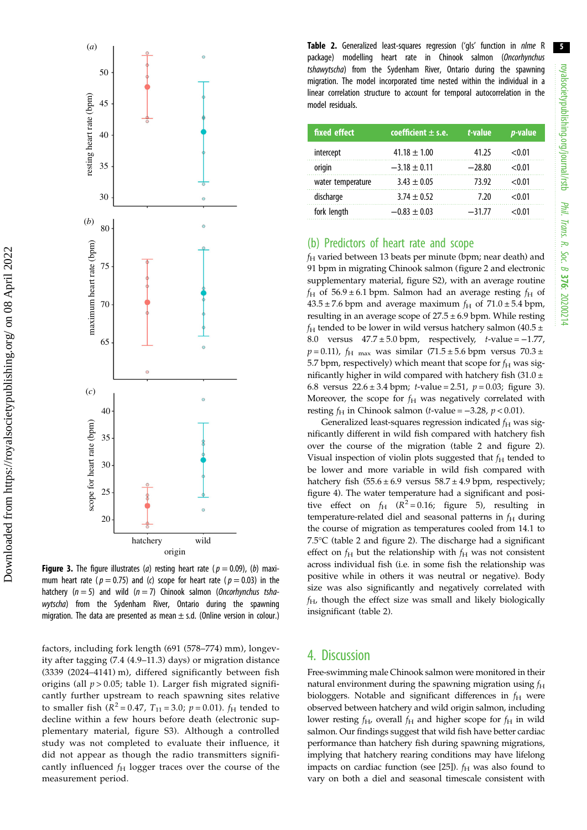

**Figure 3.** The figure illustrates (*a*) resting heart rate ( $p = 0.09$ ), (*b*) maximum heart rate ( $p = 0.75$ ) and (c) scope for heart rate ( $p = 0.03$ ) in the hatchery ( $n = 5$ ) and wild ( $n = 7$ ) Chinook salmon (Oncorhynchus tshawytscha) from the Sydenham River, Ontario during the spawning migration. The data are presented as mean  $\pm$  s.d. (Online version in colour.)

factors, including fork length (691 (578–774) mm), longevity after tagging (7.4 (4.9–11.3) days) or migration distance (3339 (2024–4141) m), differed significantly between fish origins (all  $p > 0.05$ ; [table 1\)](#page-3-0). Larger fish migrated significantly further upstream to reach spawning sites relative to smaller fish ( $R^2 = 0.47$ ,  $T_{11} = 3.0$ ;  $p = 0.01$ ).  $f_H$  tended to decline within a few hours before death (electronic supplementary material, figure S3). Although a controlled study was not completed to evaluate their influence, it did not appear as though the radio transmitters significantly influenced  $f_H$  logger traces over the course of the measurement period.

Table 2. Generalized least-squares regression ('gls' function in nlme R package) modelling heart rate in Chinook salmon (Oncorhynchus tshawytscha) from the Sydenham River, Ontario during the spawning migration. The model incorporated time nested within the individual in a linear correlation structure to account for temporal autocorrelation in the model residuals.

| fixed effect      | coefficient $\pm$ s.e. | t-value  | <i>p</i> -value |
|-------------------|------------------------|----------|-----------------|
| intercept         | $41.18 \pm 1.00$       | 41 25    | < 0.01          |
| origin            | $-3.18 \pm 0.11$       | $-28.80$ | 01. 7           |
| water temperature | $3.43 \pm 0.05$        | 73 92    | 01. 7 -         |
| discharge         | $3.74 + 0.52$          | 7 20     | 01. 7 -         |
| fork length       | $-0.83 + 0.03$         | $-3177$  | 1∩ ∩ے           |

## (b) Predictors of heart rate and scope

 $f_H$  varied between 13 beats per minute (bpm; near death) and 91 bpm in migrating Chinook salmon ([figure 2](#page-3-0) and electronic supplementary material, figure S2), with an average routine  $f_H$  of 56.9 ± 6.1 bpm. Salmon had an average resting  $f_H$  of  $43.5 \pm 7.6$  bpm and average maximum  $f_H$  of  $71.0 \pm 5.4$  bpm, resulting in an average scope of  $27.5 \pm 6.9$  bpm. While resting  $f_H$  tended to be lower in wild versus hatchery salmon (40.5  $\pm$ 8.0 versus  $47.7 \pm 5.0$  bpm, respectively,  $t$ -value =  $-1.77$ ,  $p = 0.11$ ),  $f_{\text{H}}$  <sub>max</sub> was similar (71.5 ± 5.6 bpm versus 70.3 ± 5.7 bpm, respectively) which meant that scope for  $f_H$  was significantly higher in wild compared with hatchery fish (31.0  $\pm$ 6.8 versus  $22.6 \pm 3.4$  bpm; t-value = 2.51,  $p = 0.03$ ; figure 3). Moreover, the scope for  $f_H$  was negatively correlated with resting  $f<sub>H</sub>$  in Chinook salmon (t-value = -3.28,  $p < 0.01$ ).

Generalized least-squares regression indicated  $f_H$  was significantly different in wild fish compared with hatchery fish over the course of the migration (table 2 and [figure 2\)](#page-3-0). Visual inspection of violin plots suggested that  $f_H$  tended to be lower and more variable in wild fish compared with hatchery fish  $(55.6 \pm 6.9 \text{ versus } 58.7 \pm 4.9 \text{ bpm}$ , respectively; [figure 4\)](#page-5-0). The water temperature had a significant and positive effect on  $f_H$  ( $R^2 = 0.16$ ; [figure 5](#page-5-0)), resulting in temperature-related diel and seasonal patterns in  $f_H$  during the course of migration as temperatures cooled from 14.1 to 7.5°C (table 2 and [figure 2](#page-3-0)). The discharge had a significant effect on  $f_H$  but the relationship with  $f_H$  was not consistent across individual fish (i.e. in some fish the relationship was positive while in others it was neutral or negative). Body size was also significantly and negatively correlated with  $f_H$ , though the effect size was small and likely biologically insignificant (table 2).

## 4. Discussion

Free-swimming male Chinook salmon were monitored in their natural environment during the spawning migration using  $f_H$ biologgers. Notable and significant differences in  $f<sub>H</sub>$  were observed between hatchery and wild origin salmon, including lower resting  $f_H$ , overall  $f_H$  and higher scope for  $f_H$  in wild salmon. Our findings suggest that wild fish have better cardiac performance than hatchery fish during spawning migrations, implying that hatchery rearing conditions may have lifelong impacts on cardiac function (see [\[25\]](#page-8-0)).  $f<sub>H</sub>$  was also found to vary on both a diel and seasonal timescale consistent with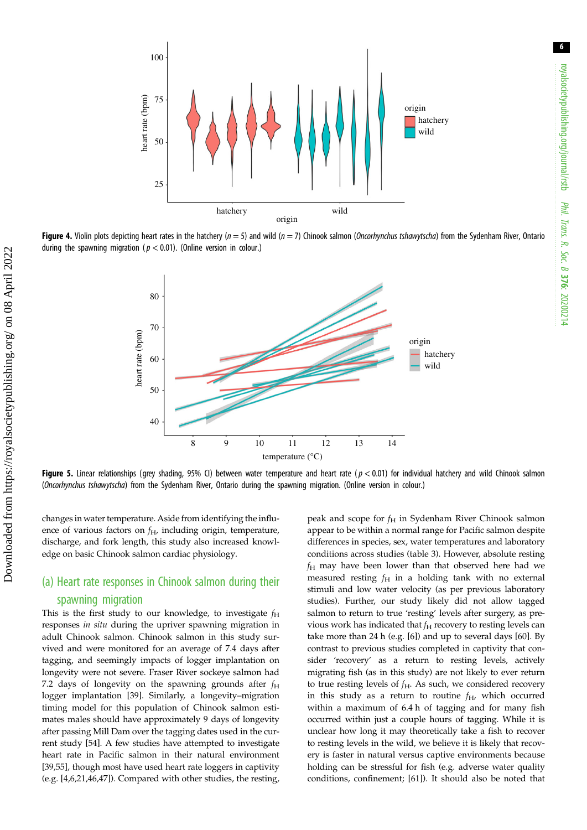<span id="page-5-0"></span>

**Figure 4.** Violin plots depicting heart rates in the hatchery ( $n = 5$ ) and wild ( $n = 7$ ) Chinook salmon (Oncorhynchus tshawytscha) from the Sydenham River, Ontario during the spawning migration ( $p < 0.01$ ). (Online version in colour.)



Figure 5. Linear relationships (grey shading, 95% CI) between water temperature and heart rate ( $p < 0.01$ ) for individual hatchery and wild Chinook salmon (Oncorhynchus tshawytscha) from the Sydenham River, Ontario during the spawning migration. (Online version in colour.)

changes in water temperature. Aside from identifying the influence of various factors on  $f_{\rm H}$ , including origin, temperature, discharge, and fork length, this study also increased knowledge on basic Chinook salmon cardiac physiology.

## (a) Heart rate responses in Chinook salmon during their spawning migration

This is the first study to our knowledge, to investigate  $f<sub>H</sub>$ responses in situ during the upriver spawning migration in adult Chinook salmon. Chinook salmon in this study survived and were monitored for an average of 7.4 days after tagging, and seemingly impacts of logger implantation on longevity were not severe. Fraser River sockeye salmon had 7.2 days of longevity on the spawning grounds after  $f_H$ logger implantation [[39\]](#page-8-0). Similarly, a longevity–migration timing model for this population of Chinook salmon estimates males should have approximately 9 days of longevity after passing Mill Dam over the tagging dates used in the current study [[54](#page-9-0)]. A few studies have attempted to investigate heart rate in Pacific salmon in their natural environment [\[39](#page-8-0),[55\]](#page-9-0), though most have used heart rate loggers in captivity (e.g. [\[4,6,](#page-7-0)[21](#page-8-0)[,46,47](#page-9-0)]). Compared with other studies, the resting,

peak and scope for  $f<sub>H</sub>$  in Sydenham River Chinook salmon appear to be within a normal range for Pacific salmon despite differences in species, sex, water temperatures and laboratory conditions across studies ([table 3](#page-6-0)). However, absolute resting  $f_H$  may have been lower than that observed here had we measured resting  $f<sub>H</sub>$  in a holding tank with no external stimuli and low water velocity (as per previous laboratory studies). Further, our study likely did not allow tagged salmon to return to true 'resting' levels after surgery, as previous work has indicated that  $f<sub>H</sub>$  recovery to resting levels can take more than 24 h (e.g. [\[6\]](#page-7-0)) and up to several days [\[60](#page-9-0)]. By contrast to previous studies completed in captivity that consider 'recovery' as a return to resting levels, actively migrating fish (as in this study) are not likely to ever return to true resting levels of  $f_H$ . As such, we considered recovery in this study as a return to routine  $f_H$ , which occurred within a maximum of 6.4 h of tagging and for many fish occurred within just a couple hours of tagging. While it is unclear how long it may theoretically take a fish to recover to resting levels in the wild, we believe it is likely that recovery is faster in natural versus captive environments because holding can be stressful for fish (e.g. adverse water quality conditions, confinement; [[61\]](#page-9-0)). It should also be noted that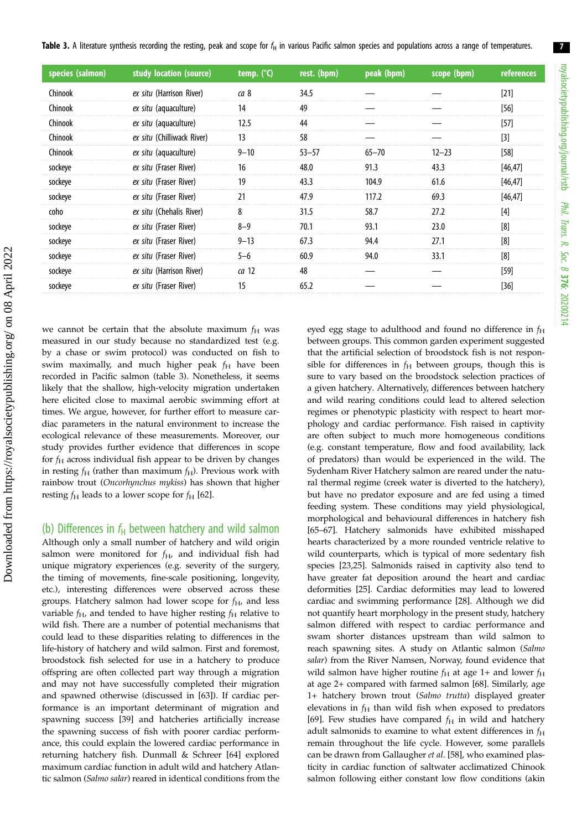royalsocietypublishing.org/journal/rstb royalsocietypublishing.org/journal/rstb Phil. Trans. R. Soc. $\sigma$ 376: 20200214

7

<span id="page-6-0"></span>

| species (salmon) | study location (source)    | temp. $(°C)$     | rest. (bpm) | peak (bpm) | scope (bpm) | references |
|------------------|----------------------------|------------------|-------------|------------|-------------|------------|
| Chinook          | ex situ (Harrison River)   | ca 8             | 34.5        |            |             | $[21]$     |
| Chinook          | ex situ (aquaculture)      | 14               | 49          |            |             | [56]       |
| Chinook          | ex situ (aquaculture)      | 12.5             | 44          |            |             | $[57]$     |
| Chinook          | ex situ (Chilliwack River) | 13               | 58          |            |             | $[3]$      |
| Chinook          | ex situ (aquaculture)      | $9 - 10$         | $53 - 57$   | $65 - 70$  | $12 - 23$   | [58]       |
| sockeye          | ex situ (Fraser River)     | 16               | 48.0        | 91.3       | 43.3        | [46, 47]   |
| sockeye          | ex situ (Fraser River)     | 19               | 43.3        | 104.9      | 61.6        | [46.47]    |
| sockeye          | ex situ (Fraser River)     | 21               | 47.9        | 117.2      | 69.3        | [46, 47]   |
| coho             | ex situ (Chehalis River)   | 8                | 31.5        | 58.7       | 27.2        | [4]        |
| sockeye          | ex situ (Fraser River)     | $8 - 9$          | 70.1        | 93.1       | 23.0        | [8]        |
| sockeye          | ex situ (Fraser River)     | $9 - 13$         | 67.3        | 94.4       | 27.1        | [8]        |
| sockeye          | ex situ (Fraser River)     | $5 - 6$          | 60.9        | 94.0       | 33.1        | [8]        |
| sockeye          | ex situ (Harrison River)   | ca <sub>12</sub> | 48          |            |             | [59]       |
| sockeye          | ex situ (Fraser River)     | 15               | 65.2        |            |             | $[36]$     |

we cannot be certain that the absolute maximum  $f_H$  was measured in our study because no standardized test (e.g. by a chase or swim protocol) was conducted on fish to swim maximally, and much higher peak  $f<sub>H</sub>$  have been recorded in Pacific salmon (table 3). Nonetheless, it seems likely that the shallow, high-velocity migration undertaken here elicited close to maximal aerobic swimming effort at times. We argue, however, for further effort to measure cardiac parameters in the natural environment to increase the ecological relevance of these measurements. Moreover, our study provides further evidence that differences in scope for  $f<sub>H</sub>$  across individual fish appear to be driven by changes in resting  $f_H$  (rather than maximum  $f_H$ ). Previous work with rainbow trout (Oncorhynchus mykiss) has shown that higher resting  $f_H$  leads to a lower scope for  $f_H$  [\[62](#page-9-0)].

(b) Differences in  $f_H$  between hatchery and wild salmon

Although only a small number of hatchery and wild origin salmon were monitored for  $f_H$ , and individual fish had unique migratory experiences (e.g. severity of the surgery, the timing of movements, fine-scale positioning, longevity, etc.), interesting differences were observed across these groups. Hatchery salmon had lower scope for  $f_H$ , and less variable  $f_{\rm H}$ , and tended to have higher resting  $f_{\rm H}$  relative to wild fish. There are a number of potential mechanisms that could lead to these disparities relating to differences in the life-history of hatchery and wild salmon. First and foremost, broodstock fish selected for use in a hatchery to produce offspring are often collected part way through a migration and may not have successfully completed their migration and spawned otherwise (discussed in [\[63](#page-9-0)]). If cardiac performance is an important determinant of migration and spawning success [[39\]](#page-8-0) and hatcheries artificially increase the spawning success of fish with poorer cardiac performance, this could explain the lowered cardiac performance in returning hatchery fish. Dunmall & Schreer [\[64\]](#page-9-0) explored maximum cardiac function in adult wild and hatchery Atlantic salmon (Salmo salar) reared in identical conditions from the eyed egg stage to adulthood and found no difference in  $f_H$ between groups. This common garden experiment suggested that the artificial selection of broodstock fish is not responsible for differences in  $f_H$  between groups, though this is sure to vary based on the broodstock selection practices of a given hatchery. Alternatively, differences between hatchery and wild rearing conditions could lead to altered selection regimes or phenotypic plasticity with respect to heart morphology and cardiac performance. Fish raised in captivity are often subject to much more homogeneous conditions (e.g. constant temperature, flow and food availability, lack of predators) than would be experienced in the wild. The Sydenham River Hatchery salmon are reared under the natural thermal regime (creek water is diverted to the hatchery), but have no predator exposure and are fed using a timed feeding system. These conditions may yield physiological, morphological and behavioural differences in hatchery fish [[65](#page-9-0)–[67](#page-9-0)]. Hatchery salmonids have exhibited misshaped hearts characterized by a more rounded ventricle relative to wild counterparts, which is typical of more sedentary fish species [\[23,25](#page-8-0)]. Salmonids raised in captivity also tend to have greater fat deposition around the heart and cardiac deformities [[25\]](#page-8-0). Cardiac deformities may lead to lowered cardiac and swimming performance [[28\]](#page-8-0). Although we did not quantify heart morphology in the present study, hatchery salmon differed with respect to cardiac performance and swam shorter distances upstream than wild salmon to reach spawning sites. A study on Atlantic salmon (Salmo salar) from the River Namsen, Norway, found evidence that wild salmon have higher routine  $f_H$  at age 1+ and lower  $f_H$ at age 2+ compared with farmed salmon [[68\]](#page-9-0). Similarly, age 1+ hatchery brown trout (Salmo trutta) displayed greater elevations in  $f_H$  than wild fish when exposed to predators [[69\]](#page-9-0). Few studies have compared  $f<sub>H</sub>$  in wild and hatchery adult salmonids to examine to what extent differences in  $f_H$ remain throughout the life cycle. However, some parallels can be drawn from Gallaugher et al. [[58\]](#page-9-0), who examined plasticity in cardiac function of saltwater acclimatized Chinook salmon following either constant low flow conditions (akin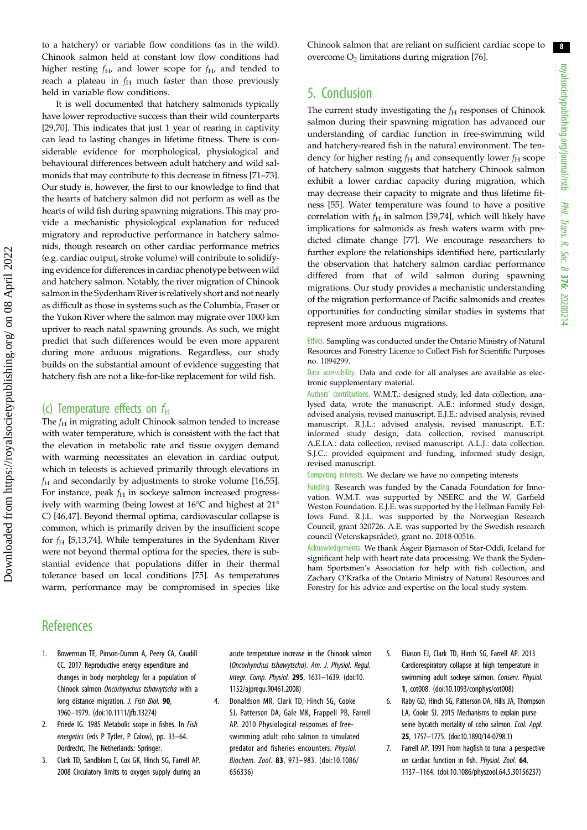8

<span id="page-7-0"></span>to a hatchery) or variable flow conditions (as in the wild). Chinook salmon held at constant low flow conditions had higher resting  $f_{\rm H}$ , and lower scope for  $f_{\rm H}$ , and tended to reach a plateau in  $f_H$  much faster than those previously held in variable flow conditions.

It is well documented that hatchery salmonids typically have lower reproductive success than their wild counterparts [\[29](#page-8-0),[70\]](#page-9-0). This indicates that just 1 year of rearing in captivity can lead to lasting changes in lifetime fitness. There is considerable evidence for morphological, physiological and behavioural differences between adult hatchery and wild salmonids that may contribute to this decrease in fitness [[71](#page-9-0)–[73](#page-9-0)]. Our study is, however, the first to our knowledge to find that the hearts of hatchery salmon did not perform as well as the hearts of wild fish during spawning migrations. This may provide a mechanistic physiological explanation for reduced migratory and reproductive performance in hatchery salmonids, though research on other cardiac performance metrics (e.g. cardiac output, stroke volume) will contribute to solidifying evidence for differences in cardiac phenotype between wild and hatchery salmon. Notably, the river migration of Chinook salmon in the Sydenham River is relatively short and not nearly as difficult as those in systems such as the Columbia, Fraser or the Yukon River where the salmon may migrate over 1000 km upriver to reach natal spawning grounds. As such, we might predict that such differences would be even more apparent during more arduous migrations. Regardless, our study builds on the substantial amount of evidence suggesting that hatchery fish are not a like-for-like replacement for wild fish.

#### (c) Temperature effects on  $f_H$

The  $f_H$  in migrating adult Chinook salmon tended to increase with water temperature, which is consistent with the fact that the elevation in metabolic rate and tissue oxygen demand with warming necessitates an elevation in cardiac output, which in teleosts is achieved primarily through elevations in  $f_H$  and secondarily by adjustments to stroke volume [\[16](#page-8-0)[,55](#page-9-0)]. For instance, peak  $f_H$  in sockeye salmon increased progressively with warming (being lowest at 16°C and highest at 21° C) [\[46,47](#page-9-0)]. Beyond thermal optima, cardiovascular collapse is common, which is primarily driven by the insufficient scope for  $f_H$  [5,[13,](#page-8-0)[74\]](#page-9-0). While temperatures in the Sydenham River were not beyond thermal optima for the species, there is substantial evidence that populations differ in their thermal tolerance based on local conditions [[75\]](#page-9-0). As temperatures warm, performance may be compromised in species like Chinook salmon that are reliant on sufficient cardiac scope to overcome  $O_2$  limitations during migration [\[76](#page-9-0)].

## 5. Conclusion

The current study investigating the  $f<sub>H</sub>$  responses of Chinook salmon during their spawning migration has advanced our understanding of cardiac function in free-swimming wild and hatchery-reared fish in the natural environment. The tendency for higher resting  $f_H$  and consequently lower  $f_H$  scope of hatchery salmon suggests that hatchery Chinook salmon exhibit a lower cardiac capacity during migration, which may decrease their capacity to migrate and thus lifetime fitness [\[55](#page-9-0)]. Water temperature was found to have a positive correlation with  $f_H$  in salmon [\[39](#page-8-0)[,74](#page-9-0)], which will likely have implications for salmonids as fresh waters warm with predicted climate change [[77\]](#page-9-0). We encourage researchers to further explore the relationships identified here, particularly the observation that hatchery salmon cardiac performance differed from that of wild salmon during spawning migrations. Our study provides a mechanistic understanding of the migration performance of Pacific salmonids and creates opportunities for conducting similar studies in systems that represent more arduous migrations.

Ethics. Sampling was conducted under the Ontario Ministry of Natural Resources and Forestry Licence to Collect Fish for Scientific Purposes no. 1094299.

Data accessibility. Data and code for all analyses are available as electronic supplementary material.

Authors' contributions. W.M.T.: designed study, led data collection, analysed data, wrote the manuscript. A.E.: informed study design, advised analysis, revised manuscript. E.J.E.: advised analysis, revised manuscript. R.J.L.: advised analysis, revised manuscript. E.T.: informed study design, data collection, revised manuscript. A.E.I.A.: data collection, revised manuscript. A.L.J.: data collection. S.J.C.: provided equipment and funding, informed study design, revised manuscript.

Competing interests. We declare we have no competing interests

Funding. Research was funded by the Canada Foundation for Innovation. W.M.T. was supported by NSERC and the W. Garfield Weston Foundation. E.J.E. was supported by the Hellman Family Fellows Fund. R.J.L. was supported by the Norwegian Research Council, grant 320726. A.E. was supported by the Swedish research council (Vetenskapsrådet), grant no. 2018-00516.

Acknowledgements. We thank Ásgeir Bjarnason of Star-Oddi, Iceland for significant help with heart rate data processing. We thank the Sydenham Sportsmen's Association for help with fish collection, and Zachary O'Krafka of the Ontario Ministry of Natural Resources and Forestry for his advice and expertise on the local study system.

## **References**

- 1. Bowerman TE, Pinson-Dumm A, Peery CA, Caudill CC. 2017 Reproductive energy expenditure and changes in body morphology for a population of Chinook salmon Oncorhynchus tshawytscha with a long distance migration. J. Fish Biol. 90, 1960–1979. [\(doi:10.1111/jfb.13274\)](http://dx.doi.org/10.1111/jfb.13274)
- 2. Priede IG. 1985 Metabolic scope in fishes. In Fish energetics (eds P Tytler, P Calow), pp. 33–64. Dordrecht, The Netherlands: Springer.
- 3. Clark TD, Sandblom E, Cox GK, Hinch SG, Farrell AP. 2008 Circulatory limits to oxygen supply during an

acute temperature increase in the Chinook salmon (Oncorhynchus tshawytscha). Am. J. Physiol. Regul. Integr. Comp. Physiol. 295, 1631–1639. ([doi:10.](http://dx.doi.org/10.1152/ajpregu.90461.2008) [1152/ajpregu.90461.2008](http://dx.doi.org/10.1152/ajpregu.90461.2008))

- 4. Donaldson MR, Clark TD, Hinch SG, Cooke SJ, Patterson DA, Gale MK, Frappell PB, Farrell AP. 2010 Physiological responses of freeswimming adult coho salmon to simulated predator and fisheries encounters. Physiol. Biochem. Zool. 83, 973–983. [\(doi:10.1086/](http://dx.doi.org/10.1086/656336) [656336\)](http://dx.doi.org/10.1086/656336)
- 5. Eliason EJ, Clark TD, Hinch SG, Farrell AP. 2013 Cardiorespiratory collapse at high temperature in swimming adult sockeye salmon. Conserv. Physiol. 1, cot008. [\(doi:10.1093/conphys/cot008\)](http://dx.doi.org/10.1093/conphys/cot008)
- 6. Raby GD, Hinch SG, Patterson DA, Hills JA, Thompson LA, Cooke SJ. 2015 Mechanisms to explain purse seine bycatch mortality of coho salmon. Ecol. Appl. 25, 1757–1775. [\(doi:10.1890/14-0798.1](http://dx.doi.org/10.1890/14-0798.1))
- 7. Farrell AP. 1991 From hagfish to tuna: a perspective on cardiac function in fish. Physiol. Zool. 64, 1137–1164. [\(doi:10.1086/physzool.64.5.30156237\)](http://dx.doi.org/10.1086/physzool.64.5.30156237)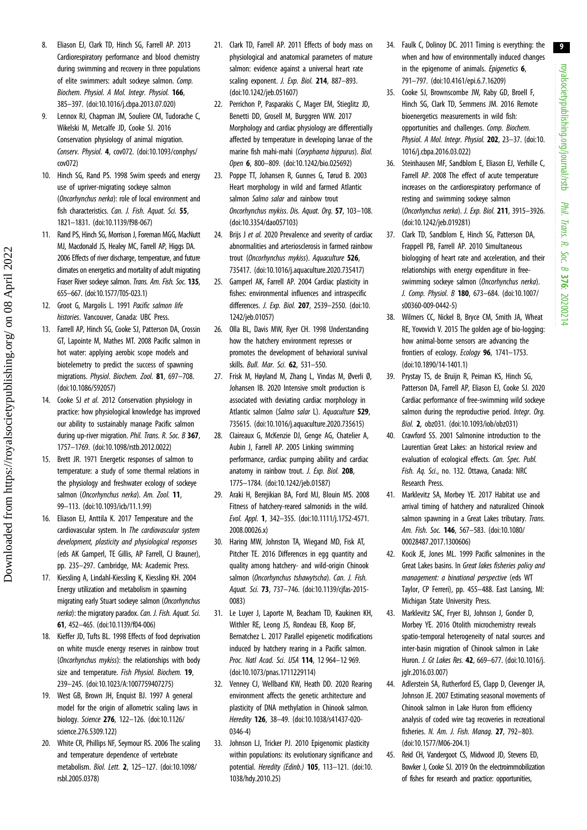- <span id="page-8-0"></span>8. Eliason EJ, Clark TD, Hinch SG, Farrell AP. 2013 Cardiorespiratory performance and blood chemistry during swimming and recovery in three populations of elite swimmers: adult sockeye salmon. Comp. Biochem. Physiol. A Mol. Integr. Physiol. 166, 385–397. ([doi:10.1016/j.cbpa.2013.07.020](http://dx.doi.org/10.1016/j.cbpa.2013.07.020))
- 9. Lennox RJ, Chapman JM, Souliere CM, Tudorache C, Wikelski M, Metcalfe JD, Cooke SJ. 2016 Conservation physiology of animal migration. Conserv. Physiol. 4, cov072. [\(doi:10.1093/conphys/](http://dx.doi.org/10.1093/conphys/cov072) [cov072](http://dx.doi.org/10.1093/conphys/cov072))
- 10. Hinch SG, Rand PS. 1998 Swim speeds and energy use of upriver-migrating sockeye salmon (Oncorhynchus nerka): role of local environment and fish characteristics. Can. J. Fish. Aquat. Sci. 55, 1821–1831. [\(doi:10.1139/f98-067](http://dx.doi.org/10.1139/f98-067))
- 11. Rand PS, Hinch SG, Morrison J, Foreman MGG, MacNutt MJ, Macdonald JS, Healey MC, Farrell AP, Higgs DA. 2006 Effects of river discharge, temperature, and future climates on energetics and mortality of adult migrating Fraser River sockeye salmon. Trans. Am. Fish. Soc. 135, 655–667. [\(doi:10.1577/T05-023.1](http://dx.doi.org/10.1577/T05-023.1))
- 12. Groot G, Margolis L. 1991 Pacific salmon life histories. Vancouver, Canada: UBC Press.
- 13. Farrell AP, Hinch SG, Cooke SJ, Patterson DA, Crossin GT, Lapointe M, Mathes MT. 2008 Pacific salmon in hot water: applying aerobic scope models and biotelemetry to predict the success of spawning migrations. Physiol. Biochem. Zool. 81, 697–708. [\(doi:10.1086/592057](http://dx.doi.org/10.1086/592057))
- 14. Cooke SJ et al. 2012 Conservation physiology in practice: how physiological knowledge has improved our ability to sustainably manage Pacific salmon during up-river migration. *Phil. Trans. R. Soc. B* 367. 1757–1769. [\(doi:10.1098/rstb.2012.0022\)](http://dx.doi.org/10.1098/rstb.2012.0022)
- 15. Brett JR. 1971 Energetic responses of salmon to temperature: a study of some thermal relations in the physiology and freshwater ecology of sockeye salmon (Oncorhynchus nerka). Am. Zool. 11, 99–113. [\(doi:10.1093/icb/11.1.99](http://dx.doi.org/10.1093/icb/11.1.99))
- 16. Eliason EJ, Anttila K. 2017 Temperature and the cardiovascular system. In The cardiovascular system development, plasticity and physiological responses (eds AK Gamperl, TE Gillis, AP Farrell, CJ Brauner), pp. 235–297. Cambridge, MA: Academic Press.
- 17. Kiessling A, Lindahl-Kiessling K, Kiessling KH. 2004 Energy utilization and metabolism in spawning migrating early Stuart sockeye salmon (Oncorhynchus nerka): the migratory paradox. Can. J. Fish. Aquat. Sci. 61, 452–465. [\(doi:10.1139/f04-006](http://dx.doi.org/10.1139/f04-006))
- 18. Kieffer JD, Tufts BL. 1998 Effects of food deprivation on white muscle energy reserves in rainbow trout (Oncorhynchus mykiss): the relationships with body size and temperature. Fish Physiol. Biochem. 19, 239–245. ([doi:10.1023/A:1007759407275\)](http://dx.doi.org/10.1023/A:1007759407275)
- 19. West GB, Brown JH, Enquist BJ. 1997 A general model for the origin of allometric scaling laws in biology. Science 276, 122–126. ([doi:10.1126/](http://dx.doi.org/10.1126/science.276.5309.122) [science.276.5309.122](http://dx.doi.org/10.1126/science.276.5309.122))
- 20. White CR, Phillips NF, Seymour RS. 2006 The scaling and temperature dependence of vertebrate metabolism. Biol. Lett. 2, 125–127. ([doi:10.1098/](http://dx.doi.org/10.1098/rsbl.2005.0378) [rsbl.2005.0378](http://dx.doi.org/10.1098/rsbl.2005.0378))
- 21. Clark TD, Farrell AP. 2011 Effects of body mass on physiological and anatomical parameters of mature salmon: evidence against a universal heart rate scaling exponent. J. Exp. Biol. 214, 887-893. [\(doi:10.1242/jeb.051607](http://dx.doi.org/10.1242/jeb.051607))
- 22. Perrichon P, Pasparakis C, Mager EM, Stieglitz JD, Benetti DD, Grosell M, Burggren WW. 2017 Morphology and cardiac physiology are differentially affected by temperature in developing larvae of the marine fish mahi-mahi (Coryphaena hippurus). Biol. Open 6, 800–809. ([doi:10.1242/bio.025692\)](http://dx.doi.org/10.1242/bio.025692)
- 23. Poppe TT, Johansen R, Gunnes G, Tørud B. 2003 Heart morphology in wild and farmed Atlantic salmon Salmo salar and rainbow trout Oncorhynchus mykiss. Dis. Aquat. Org. 57, 103–108. [\(doi:10.3354/dao057103](http://dx.doi.org/10.3354/dao057103))
- 24. Brijs J et al. 2020 Prevalence and severity of cardiac abnormalities and arteriosclerosis in farmed rainbow trout (Oncorhynchus mykiss). Aquaculture 526, 735417. [\(doi:10.1016/j.aquaculture.2020.735417](http://dx.doi.org/10.1016/j.aquaculture.2020.735417))
- 25. Gamperl AK, Farrell AP. 2004 Cardiac plasticity in fishes: environmental influences and intraspecific differences. J. Exp. Biol. 207, 2539–2550. ([doi:10.](http://dx.doi.org/10.1242/jeb.01057) [1242/jeb.01057\)](http://dx.doi.org/10.1242/jeb.01057)
- 26. Olla BL, Davis MW, Ryer CH. 1998 Understanding how the hatchery environment represses or promotes the development of behavioral survival skills. Bull. Mar. Sci. 62, 531–550.
- 27. Frisk M, Høyland M, Zhang L, Vindas M, Øverli Ø, Johansen IB. 2020 Intensive smolt production is associated with deviating cardiac morphology in Atlantic salmon (Salmo salar L). Aquaculture 529, 735615. [\(doi:10.1016/j.aquaculture.2020.735615](http://dx.doi.org/10.1016/j.aquaculture.2020.735615))
- 28. Claireaux G, McKenzie DJ, Genge AG, Chatelier A, Aubin J, Farrell AP. 2005 Linking swimming performance, cardiac pumping ability and cardiac anatomy in rainbow trout. *J. Exp. Biol.* 208, 1775–1784. [\(doi:10.1242/jeb.01587\)](http://dx.doi.org/10.1242/jeb.01587)
- 29. Araki H, Berejikian BA, Ford MJ, Blouin MS. 2008 Fitness of hatchery-reared salmonids in the wild. Evol. Appl. 1, 342–355. [\(doi:10.1111/j.1752-4571.](http://dx.doi.org/10.1111/j.1752-4571.2008.00026.x) [2008.00026.x\)](http://dx.doi.org/10.1111/j.1752-4571.2008.00026.x)
- 30. Haring MW, Johnston TA, Wiegand MD, Fisk AT, Pitcher TE. 2016 Differences in egg quantity and quality among hatchery- and wild-origin Chinook salmon (Oncorhynchus tshawytscha). Can. J. Fish. Aquat. Sci. 73, 737–746. [\(doi:10.1139/cjfas-2015-](http://dx.doi.org/10.1139/cjfas-2015-0083) [0083](http://dx.doi.org/10.1139/cjfas-2015-0083))
- 31. Le Luyer J, Laporte M, Beacham TD, Kaukinen KH, Withler RE, Leong JS, Rondeau EB, Koop BF, Bernatchez L. 2017 Parallel epigenetic modifications induced by hatchery rearing in a Pacific salmon. Proc. Natl Acad. Sci. USA 114, 12 964–12 969. [\(doi:10.1073/pnas.1711229114\)](http://dx.doi.org/10.1073/pnas.1711229114)
- 32. Venney CJ, Wellband KW, Heath DD. 2020 Rearing environment affects the genetic architecture and plasticity of DNA methylation in Chinook salmon. Heredity 126, 38–49. ([doi:10.1038/s41437-020-](http://dx.doi.org/10.1038/s41437-020-0346-4) [0346-4](http://dx.doi.org/10.1038/s41437-020-0346-4))
- 33. Johnson LJ, Tricker PJ. 2010 Epigenomic plasticity within populations: its evolutionary significance and potential. Heredity (Edinb.) 105, 113–121. [\(doi:10.](http://dx.doi.org/10.1038/hdy.2010.25) [1038/hdy.2010.25](http://dx.doi.org/10.1038/hdy.2010.25))
- 34. Faulk C, Dolinoy DC. 2011 Timing is everything: the when and how of environmentally induced changes in the epigenome of animals. Epigenetics 6, 791–797. [\(doi:10.4161/epi.6.7.16209\)](http://dx.doi.org/10.4161/epi.6.7.16209)
- 35. Cooke SJ, Brownscombe JW, Raby GD, Broell F, Hinch SG, Clark TD, Semmens JM. 2016 Remote bioenergetics measurements in wild fish: opportunities and challenges. Comp. Biochem. Physiol. A Mol. Integr. Physiol. 202, 23-37. [\(doi:10.](http://dx.doi.org/10.1016/j.cbpa.2016.03.022) [1016/j.cbpa.2016.03.022](http://dx.doi.org/10.1016/j.cbpa.2016.03.022))
- 36. Steinhausen MF, Sandblom E, Eliason EJ, Verhille C, Farrell AP. 2008 The effect of acute temperature increases on the cardiorespiratory performance of resting and swimming sockeye salmon (Oncorhynchus nerka). J. Exp. Biol. 211, 3915–3926. ([doi:10.1242/jeb.019281\)](http://dx.doi.org/10.1242/jeb.019281)
- 37. Clark TD, Sandblom E, Hinch SG, Patterson DA, Frappell PB, Farrell AP. 2010 Simultaneous biologging of heart rate and acceleration, and their relationships with energy expenditure in freeswimming sockeye salmon (Oncorhynchus nerka). J. Comp. Physiol. B 180, 673–684. ([doi:10.1007/](http://dx.doi.org/10.1007/s00360-009-0442-5) [s00360-009-0442-5](http://dx.doi.org/10.1007/s00360-009-0442-5))
- 38. Wilmers CC, Nickel B, Bryce CM, Smith JA, Wheat RE, Yovovich V. 2015 The golden age of bio-logging: how animal-borne sensors are advancing the frontiers of ecology. Ecology 96, 1741–1753. ([doi:10.1890/14-1401.1](http://dx.doi.org/10.1890/14-1401.1))
- 39. Prystay TS, de Bruijn R, Peiman KS, Hinch SG, Patterson DA, Farrell AP, Eliason EJ, Cooke SJ. 2020 Cardiac performance of free-swimming wild sockeye salmon during the reproductive period. Integr. Org. Biol. 2, obz031. ([doi:10.1093/iob/obz031](http://dx.doi.org/10.1093/iob/obz031))
- 40. Crawford SS. 2001 Salmonine introduction to the Laurentian Great Lakes: an historical review and evaluation of ecological effects. Can. Spec. Publ. Fish. Aq. Sci., no. 132. Ottawa, Canada: NRC Research Press.
- 41. Marklevitz SA, Morbey YE. 2017 Habitat use and arrival timing of hatchery and naturalized Chinook salmon spawning in a Great Lakes tributary. Trans. Am. Fish. Soc. 146, 567–583. ([doi:10.1080/](http://dx.doi.org/10.1080/00028487.2017.1300606) [00028487.2017.1300606](http://dx.doi.org/10.1080/00028487.2017.1300606))
- 42. Kocik JE, Jones ML. 1999 Pacific salmonines in the Great Lakes basins. In Great lakes fisheries policy and management: a binational perspective (eds WT Taylor, CP Ferreri), pp. 455–488. East Lansing, MI: Michigan State University Press.
- 43. Marklevitz SAC, Fryer BJ, Johnson J, Gonder D, Morbey YE. 2016 Otolith microchemistry reveals spatio-temporal heterogeneity of natal sources and inter-basin migration of Chinook salmon in Lake Huron. J. Gt Lakes Res. 42, 669–677. ([doi:10.1016/j.](http://dx.doi.org/10.1016/j.jglr.2016.03.007) [jglr.2016.03.007](http://dx.doi.org/10.1016/j.jglr.2016.03.007))
- 44. Adlerstein SA, Rutherford ES, Clapp D, Clevenger JA, Johnson JE. 2007 Estimating seasonal movements of Chinook salmon in Lake Huron from efficiency analysis of coded wire tag recoveries in recreational fisheries. N. Am. J. Fish. Manag. 27, 792–803. ([doi:10.1577/M06-204.1](http://dx.doi.org/10.1577/M06-204.1))
- 45. Reid CH, Vandergoot CS, Midwood JD, Stevens ED, Bowker J, Cooke SJ. 2019 On the electroimmobilization of fishes for research and practice: opportunities,